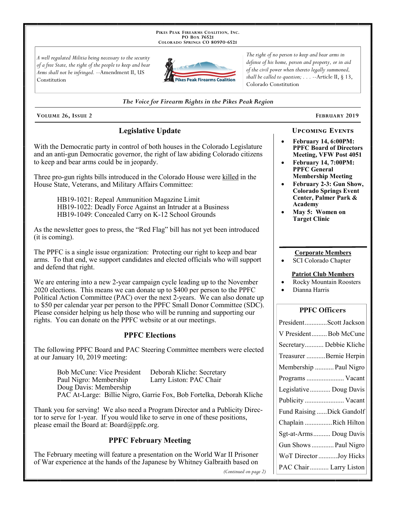PIKES PEAK FIREARMS COALITION, INC. PO Box 76521 COLORADO SPRINGS CO 80970-6521

A well regulated Militia being necessary to the security of a free State, the right of the people to keep and bear Arms shall not be infringed. --Amendment II, US Constitution



The right of no person to keep and bear arms in defense of his home, person and property, or in aid of the civil power when thereto legally summoned, shall be called to question;  $\ldots$  --Article II, § 13, Colorado Constitution

#### The Voice for Firearm Rights in the Pikes Peak Region

VOLUME 26, ISSUE 2

# **Legislative Update**

With the Democratic party in control of both houses in the Colorado Legislature and an anti-gun Democratic governor, the right of law abiding Colorado citizens to keep and bear arms could be in jeopardy.

Three pro-gun rights bills introduced in the Colorado House were killed in the House State, Veterans, and Military Affairs Committee:

> HB19-1021: Repeal Ammunition Magazine Limit HB19-1022: Deadly Force Against an Intruder at a Business HB19-1049: Concealed Carry on K-12 School Grounds

As the newsletter goes to press, the "Red Flag" bill has not yet been introduced (it is coming).

The PPFC is a single issue organization: Protecting our right to keep and bear arms. To that end, we support candidates and elected officials who will support and defend that right.

We are entering into a new 2-year campaign cycle leading up to the November 2020 elections. This means we can donate up to \$400 per person to the PPFC Political Action Committee (PAC) over the next 2-years. We can also donate up to \$50 per calendar year per person to the PPFC Small Donor Committee (SDC). Please consider helping us help those who will be running and supporting our rights. You can donate on the PPFC website or at our meetings.

## **PPFC Elections**

The following PPFC Board and PAC Steering Committee members were elected at our January 10, 2019 meeting:

| Bob McCune: Vice President | Deborah Kliche: Secretary                                            |
|----------------------------|----------------------------------------------------------------------|
| Paul Nigro: Membership     | Larry Liston: PAC Chair                                              |
| Doug Davis: Membership     |                                                                      |
|                            | PAC At-Large: Billie Nigro, Garrie Fox, Bob Fortelka, Deborah Kliche |

Thank you for serving! We also need a Program Director and a Publicity Director to serve for 1-year. If you would like to serve in one of these positions, please email the Board at: Board@ppfc.org.

## **PPFC February Meeting**

The February meeting will feature a presentation on the World War II Prisoner of War experience at the hands of the Japanese by Whitney Galbraith based on

(Continued on page 2)

## **UPCOMING EVENTS**

**FEBRUARY 2019** 

- **February 14, 6:00PM: PPFC Board of Directors** Meeting, VFW Post 4051
- **February 14, 7:00PM: PPFC General Membership Meeting**
- February 2-3: Gun Show, **Colorado Springs Event** Center, Palmer Park & Academy
- May 5: Women on **Target Clinic**

#### **Corporate Members**

SCI Colorado Chapter

#### **Patriot Club Members**

- **Rocky Mountain Roosters**
- Dianna Harris

## **PPFC Officers**

| PresidentScott Jackson    |
|---------------------------|
| V PresidentBob McCune     |
| Secretary Debbie Kliche   |
| Treasurer Bernie Herpin   |
| Membership  Paul Nigro    |
| Programs  Vacant          |
| Legislative  Doug Davis   |
|                           |
| Publicity  Vacant         |
| Fund Raising Dick Gandolf |
| Chaplain Rich Hilton      |
| Sgt-at-Arms Doug Davis    |
| Gun Shows  Paul Nigro     |
| WoT Director Joy Hicks    |